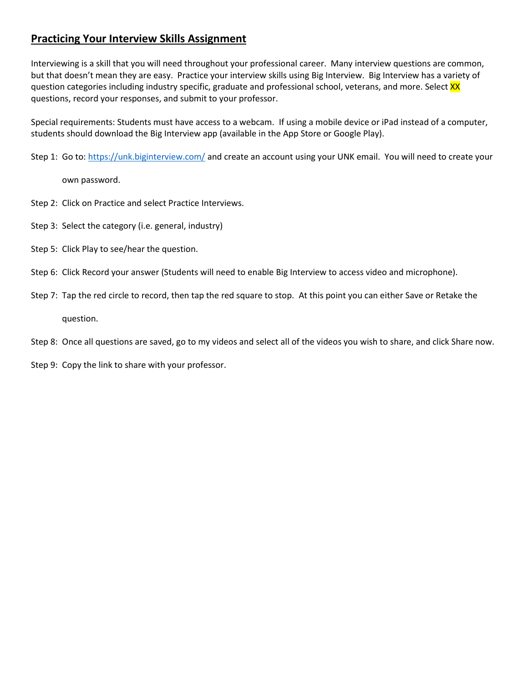## **Practicing Your Interview Skills Assignment**

Interviewing is a skill that you will need throughout your professional career. Many interview questions are common, but that doesn't mean they are easy. Practice your interview skills using Big Interview. Big Interview has a variety of question categories including industry specific, graduate and professional school, veterans, and more. Select XX questions, record your responses, and submit to your professor.

Special requirements: Students must have access to a webcam. If using a mobile device or iPad instead of a computer, students should download the Big Interview app (available in the App Store or Google Play).

Step 1: Go to:<https://unk.biginterview.com/> and create an account using your UNK email. You will need to create your

own password.

- Step 2: Click on Practice and select Practice Interviews.
- Step 3: Select the category (i.e. general, industry)
- Step 5: Click Play to see/hear the question.
- Step 6: Click Record your answer (Students will need to enable Big Interview to access video and microphone).
- Step 7: Tap the red circle to record, then tap the red square to stop. At this point you can either Save or Retake the question.
- Step 8: Once all questions are saved, go to my videos and select all of the videos you wish to share, and click Share now.

Step 9: Copy the link to share with your professor.